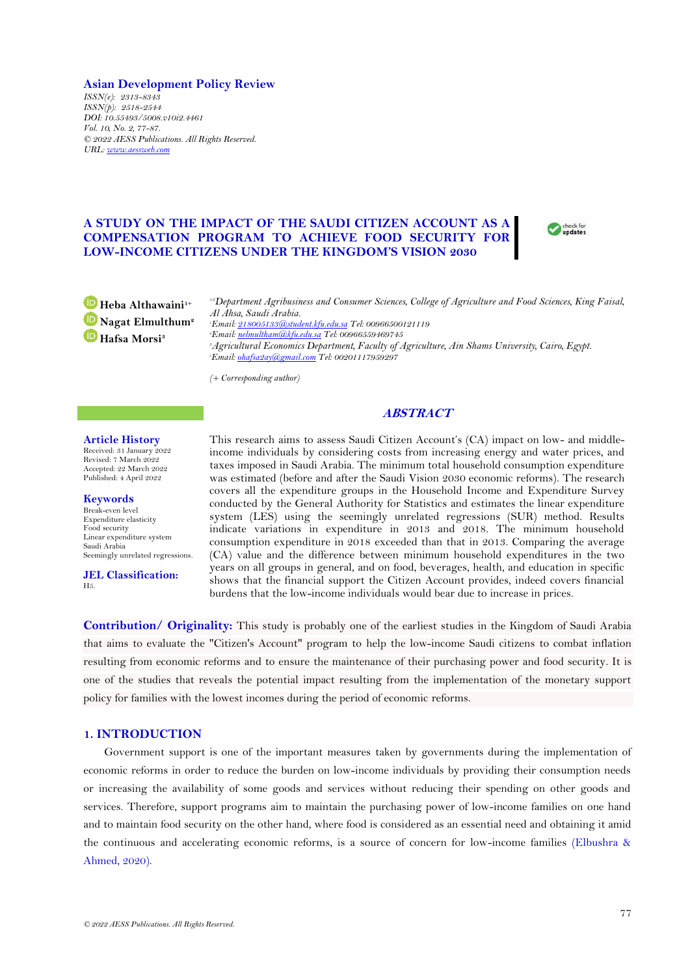**Asian Development Policy Review** *ISSN(e): 2313-8343 ISSN(p): 2518-2544 DOI: 10.55493/5008.v10i2.4461 Vol. 10, No. 2, 77-87. © 2022 AESS Publications. All Rights Reserved. URL: [www.aessweb.com](http://www.aessweb.com/)*

# **A STUDY ON THE IMPACT OF THE SAUDI CITIZEN ACCOUNT AS A COMPENSATION PROGRAM TO ACHIEVE FOOD SECURITY FOR LOW-INCOME CITIZENS UNDER THE KINGDOM'S VISION 2030**



**Heba Althawaini1+ Nagat Elmulthum<sup>2</sup> Hafsa Morsi<sup>3</sup>**

*1,2Department Agribusiness and Consumer Sciences, College of Agriculture and Food Sciences, King Faisal, Al Ahsa, Saudi Arabia. <sup>1</sup>Email[: 218005133@student.kfu.edu.sa](mailto:218005133@student.kfu.edu.sa) Tel: 00966500121119 <sup>2</sup>Email[: nelmultham@kfu.edu.sa](mailto:nelmultham@kfu.edu.sa) Tel: 00966559469745*

*<sup>3</sup>Agricultural Economics Department, Faculty of Agriculture, Ain Shams University, Cairo, Egypt. <sup>3</sup>Email[: ohafsa2ay@gmail.com](mailto:ohafsa2ay@gmail.com) Tel: 00201117959297*

*(+ Corresponding author)*

# **ABSTRACT**

### **Article History**

Received: 31 January 2022 Revised: 7 March 2022 Accepted: 22 March 2022 Published: 4 April 2022

**Keywords**

Break-even level Expenditure elasticity Food security Linear expenditure system Saudi Arabia Seemingly unrelated regressions.

**JEL Classification:** H5.

This research aims to assess Saudi Citizen Account's (CA) impact on low- and middleincome individuals by considering costs from increasing energy and water prices, and taxes imposed in Saudi Arabia. The minimum total household consumption expenditure was estimated (before and after the Saudi Vision 2030 economic reforms). The research covers all the expenditure groups in the Household Income and Expenditure Survey conducted by the General Authority for Statistics and estimates the linear expenditure system (LES) using the seemingly unrelated regressions (SUR) method. Results indicate variations in expenditure in 2013 and 2018. The minimum household consumption expenditure in 2018 exceeded than that in 2013. Comparing the average (CA) value and the difference between minimum household expenditures in the two years on all groups in general, and on food, beverages, health, and education in specific shows that the financial support the Citizen Account provides, indeed covers financial burdens that the low-income individuals would bear due to increase in prices.

**Contribution/ Originality:** This study is probably one of the earliest studies in the Kingdom of Saudi Arabia that aims to evaluate the "Citizen's Account" program to help the low-income Saudi citizens to combat inflation resulting from economic reforms and to ensure the maintenance of their purchasing power and food security. It is one of the studies that reveals the potential impact resulting from the implementation of the monetary support policy for families with the lowest incomes during the period of economic reforms.

### **1. INTRODUCTION**

Government support is one of the important measures taken by governments during the implementation of economic reforms in order to reduce the burden on low-income individuals by providing their consumption needs or increasing the availability of some goods and services without reducing their spending on other goods and services. Therefore, support programs aim to maintain the purchasing power of low-income families on one hand and to maintain food security on the other hand, where food is considered as an essential need and obtaining it amid the continuous and accelerating economic reforms, is a source of concern for low-income families [\(Elbushra &](#page-10-0)  [Ahmed, 2020\)](#page-10-0).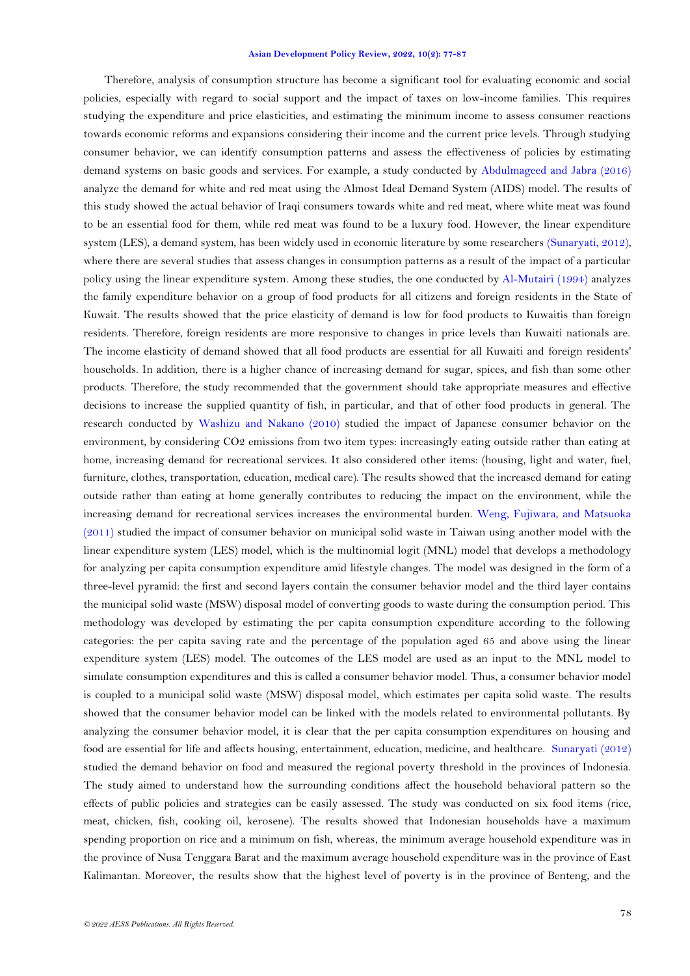Therefore, analysis of consumption structure has become a significant tool for evaluating economic and social policies, especially with regard to social support and the impact of taxes on low-income families. This requires studying the expenditure and price elasticities, and estimating the minimum income to assess consumer reactions towards economic reforms and expansions considering their income and the current price levels. Through studying consumer behavior, we can identify consumption patterns and assess the effectiveness of policies by estimating demand systems on basic goods and services. For example, a study conducted by [Abdulmageed and Jabra \(2016\)](#page-9-0) analyze the demand for white and red meat using the Almost Ideal Demand System (AIDS) model. The results of this study showed the actual behavior of Iraqi consumers towards white and red meat, where white meat was found to be an essential food for them, while red meat was found to be a luxury food. However, the linear expenditure system (LES), a demand system, has been widely used in economic literature by some researchers [\(Sunaryati, 2012\)](#page-10-1), where there are several studies that assess changes in consumption patterns as a result of the impact of a particular policy using the linear expenditure system. Among these studies, the one conducted by [Al-Mutairi \(1994\)](#page-9-1) analyzes the family expenditure behavior on a group of food products for all citizens and foreign residents in the State of Kuwait. The results showed that the price elasticity of demand is low for food products to Kuwaitis than foreign residents. Therefore, foreign residents are more responsive to changes in price levels than Kuwaiti nationals are. The income elasticity of demand showed that all food products are essential for all Kuwaiti and foreign residents' households. In addition, there is a higher chance of increasing demand for sugar, spices, and fish than some other products. Therefore, the study recommended that the government should take appropriate measures and effective decisions to increase the supplied quantity of fish, in particular, and that of other food products in general. The research conducted by [Washizu and Nakano \(2010\)](#page-10-2) studied the impact of Japanese consumer behavior on the environment, by considering CO2 emissions from two item types: increasingly eating outside rather than eating at home, increasing demand for recreational services. It also considered other items: (housing, light and water, fuel, furniture, clothes, transportation, education, medical care). The results showed that the increased demand for eating outside rather than eating at home generally contributes to reducing the impact on the environment, while the increasing demand for recreational services increases the environmental burden. [Weng, Fujiwara, and Matsuoka](#page-10-3)  [\(2011\)](#page-10-3) studied the impact of consumer behavior on municipal solid waste in Taiwan using another model with the linear expenditure system (LES) model, which is the multinomial logit (MNL) model that develops a methodology for analyzing per capita consumption expenditure amid lifestyle changes. The model was designed in the form of a three-level pyramid: the first and second layers contain the consumer behavior model and the third layer contains the municipal solid waste (MSW) disposal model of converting goods to waste during the consumption period. This methodology was developed by estimating the per capita consumption expenditure according to the following categories: the per capita saving rate and the percentage of the population aged 65 and above using the linear expenditure system (LES) model. The outcomes of the LES model are used as an input to the MNL model to simulate consumption expenditures and this is called a consumer behavior model. Thus, a consumer behavior model is coupled to a municipal solid waste (MSW) disposal model, which estimates per capita solid waste. The results showed that the consumer behavior model can be linked with the models related to environmental pollutants. By analyzing the consumer behavior model, it is clear that the per capita consumption expenditures on housing and food are essential for life and affects housing, entertainment, education, medicine, and healthcare. [Sunaryati \(2012\)](#page-10-1) studied the demand behavior on food and measured the regional poverty threshold in the provinces of Indonesia. The study aimed to understand how the surrounding conditions affect the household behavioral pattern so the effects of public policies and strategies can be easily assessed. The study was conducted on six food items (rice, meat, chicken, fish, cooking oil, kerosene). The results showed that Indonesian households have a maximum spending proportion on rice and a minimum on fish, whereas, the minimum average household expenditure was in the province of Nusa Tenggara Barat and the maximum average household expenditure was in the province of East Kalimantan. Moreover, the results show that the highest level of poverty is in the province of Benteng, and the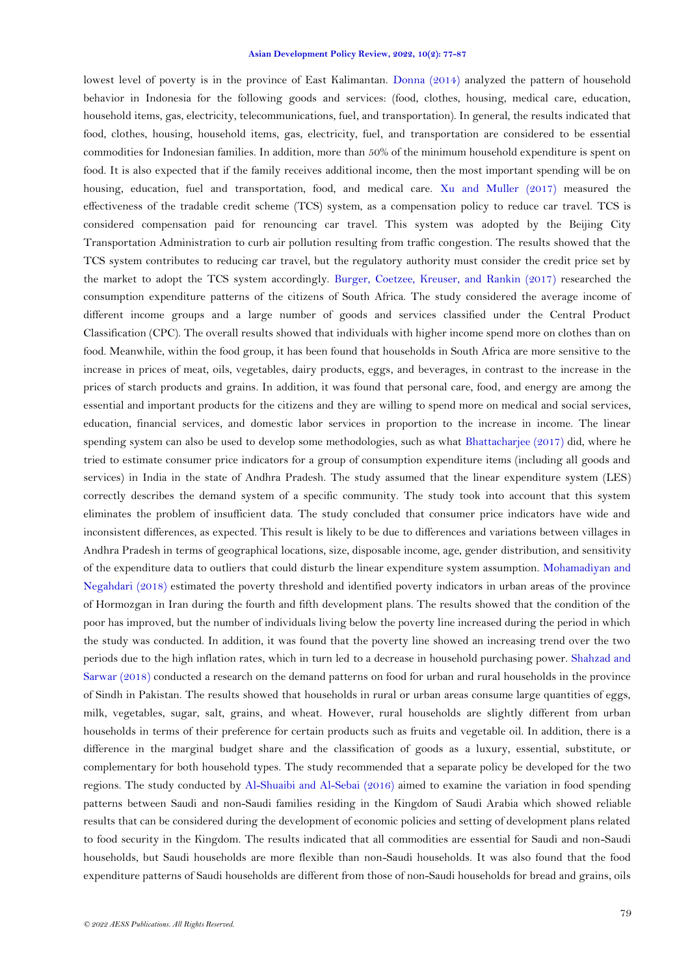lowest level of poverty is in the province of East Kalimantan. [Donna \(2014\)](#page-9-2) analyzed the pattern of household behavior in Indonesia for the following goods and services: (food, clothes, housing, medical care, education, household items, gas, electricity, telecommunications, fuel, and transportation). In general, the results indicated that food, clothes, housing, household items, gas, electricity, fuel, and transportation are considered to be essential commodities for Indonesian families. In addition, more than 50% of the minimum household expenditure is spent on food. It is also expected that if the family receives additional income, then the most important spending will be on housing, education, fuel and transportation, food, and medical care. [Xu and Muller \(2017\)](#page-10-4) measured the effectiveness of the tradable credit scheme (TCS) system, as a compensation policy to reduce car travel. TCS is considered compensation paid for renouncing car travel. This system was adopted by the Beijing City Transportation Administration to curb air pollution resulting from traffic congestion. The results showed that the TCS system contributes to reducing car travel, but the regulatory authority must consider the credit price set by the market to adopt the TCS system accordingly. [Burger, Coetzee, Kreuser, and Rankin \(2017\)](#page-9-3) researched the consumption expenditure patterns of the citizens of South Africa. The study considered the average income of different income groups and a large number of goods and services classified under the Central Product Classification (CPC). The overall results showed that individuals with higher income spend more on clothes than on food. Meanwhile, within the food group, it has been found that households in South Africa are more sensitive to the increase in prices of meat, oils, vegetables, dairy products, eggs, and beverages, in contrast to the increase in the prices of starch products and grains. In addition, it was found that personal care, food, and energy are among the essential and important products for the citizens and they are willing to spend more on medical and social services, education, financial services, and domestic labor services in proportion to the increase in income. The linear spending system can also be used to develop some methodologies, such as what [Bhattacharjee \(2017\)](#page-9-4) did, where he tried to estimate consumer price indicators for a group of consumption expenditure items (including all goods and services) in India in the state of Andhra Pradesh. The study assumed that the linear expenditure system (LES) correctly describes the demand system of a specific community. The study took into account that this system eliminates the problem of insufficient data. The study concluded that consumer price indicators have wide and inconsistent differences, as expected. This result is likely to be due to differences and variations between villages in Andhra Pradesh in terms of geographical locations, size, disposable income, age, gender distribution, and sensitivity of the expenditure data to outliers that could disturb the linear expenditure system assumption. [Mohamadiyan and](#page-10-5)  [Negahdari \(2018\)](#page-10-5) estimated the poverty threshold and identified poverty indicators in urban areas of the province of Hormozgan in Iran during the fourth and fifth development plans. The results showed that the condition of the poor has improved, but the number of individuals living below the poverty line increased during the period in which the study was conducted. In addition, it was found that the poverty line showed an increasing trend over the two periods due to the high inflation rates, which in turn led to a decrease in household purchasing power. [Shahzad and](#page-10-6)  [Sarwar \(2018\)](#page-10-6) conducted a research on the demand patterns on food for urban and rural households in the province of Sindh in Pakistan. The results showed that households in rural or urban areas consume large quantities of eggs, milk, vegetables, sugar, salt, grains, and wheat. However, rural households are slightly different from urban households in terms of their preference for certain products such as fruits and vegetable oil. In addition, there is a difference in the marginal budget share and the classification of goods as a luxury, essential, substitute, or complementary for both household types. The study recommended that a separate policy be developed for the two regions. The study conducted by [Al-Shuaibi and Al-Sebai \(2016\)](#page-9-5) aimed to examine the variation in food spending patterns between Saudi and non-Saudi families residing in the Kingdom of Saudi Arabia which showed reliable results that can be considered during the development of economic policies and setting of development plans related to food security in the Kingdom. The results indicated that all commodities are essential for Saudi and non-Saudi households, but Saudi households are more flexible than non-Saudi households. It was also found that the food expenditure patterns of Saudi households are different from those of non-Saudi households for bread and grains, oils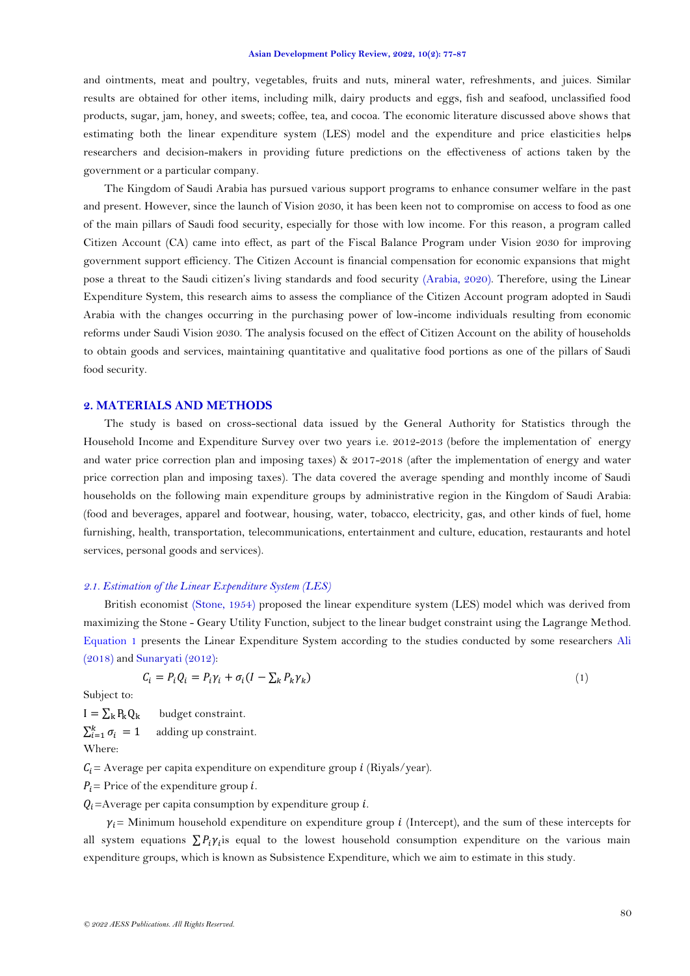and ointments, meat and poultry, vegetables, fruits and nuts, mineral water, refreshments, and juices. Similar results are obtained for other items, including milk, dairy products and eggs, fish and seafood, unclassified food products, sugar, jam, honey, and sweets; coffee, tea, and cocoa. The economic literature discussed above shows that estimating both the linear expenditure system (LES) model and the expenditure and price elasticities helps researchers and decision-makers in providing future predictions on the effectiveness of actions taken by the government or a particular company.

The Kingdom of Saudi Arabia has pursued various support programs to enhance consumer welfare in the past and present. However, since the launch of Vision 2030, it has been keen not to compromise on access to food as one of the main pillars of Saudi food security, especially for those with low income. For this reason, a program called Citizen Account (CA) came into effect, as part of the Fiscal Balance Program under Vision 2030 for improving government support efficiency. The Citizen Account is financial compensation for economic expansions that might pose a threat to the Saudi citizen's living standards and food security [\(Arabia, 2020\)](#page-9-6). Therefore, using the Linear Expenditure System, this research aims to assess the compliance of the Citizen Account program adopted in Saudi Arabia with the changes occurring in the purchasing power of low-income individuals resulting from economic reforms under Saudi Vision 2030. The analysis focused on the effect of Citizen Account on the ability of households to obtain goods and services, maintaining quantitative and qualitative food portions as one of the pillars of Saudi food security.

### **2. MATERIALS AND METHODS**

The study is based on cross-sectional data issued by the General Authority for Statistics through the Household Income and Expenditure Survey over two years i.e. 2012-2013 (before the implementation of energy and water price correction plan and imposing taxes) & 2017-2018 (after the implementation of energy and water price correction plan and imposing taxes). The data covered the average spending and monthly income of Saudi households on the following main expenditure groups by administrative region in the Kingdom of Saudi Arabia: (food and beverages, apparel and footwear, housing, water, tobacco, electricity, gas, and other kinds of fuel, home furnishing, health, transportation, telecommunications, entertainment and culture, education, restaurants and hotel services, personal goods and services).

### *2.1. Estimation of the Linear Expenditure System (LES)*

British economist [\(Stone, 1954\)](#page-10-7) proposed the linear expenditure system (LES) model which was derived from maximizing the Stone - Geary Utility Function, subject to the linear budget constraint using the Lagrange Method. [Equation 1](#page-3-0) presents the Linear Expenditure System according to the studies conducted by some researchers [Ali](#page-9-7)  [\(2018\)](#page-9-7) and [Sunaryati \(2012\)](#page-10-1):

<span id="page-3-0"></span>
$$
C_i = P_i Q_i = P_i \gamma_i + \sigma_i (I - \sum_k P_k \gamma_k)
$$
\n<sup>(1)</sup>

Subject to:

 $I = \sum_{k} P_{k} Q_{k}$  budget constraint.  $\sum_{i=1}^k \sigma_i = 1$ adding up constraint. Where:

 $C_i$  = Average per capita expenditure on expenditure group *i* (Riyals/year).

 $P_i$  = Price of the expenditure group *i*.

 $Q_i$ =Average per capita consumption by expenditure group *i*.

 $\gamma_i$  = Minimum household expenditure on expenditure group *i* (Intercept), and the sum of these intercepts for all system equations  $\sum P_i \gamma_i$  equal to the lowest household consumption expenditure on the various main expenditure groups, which is known as Subsistence Expenditure, which we aim to estimate in this study.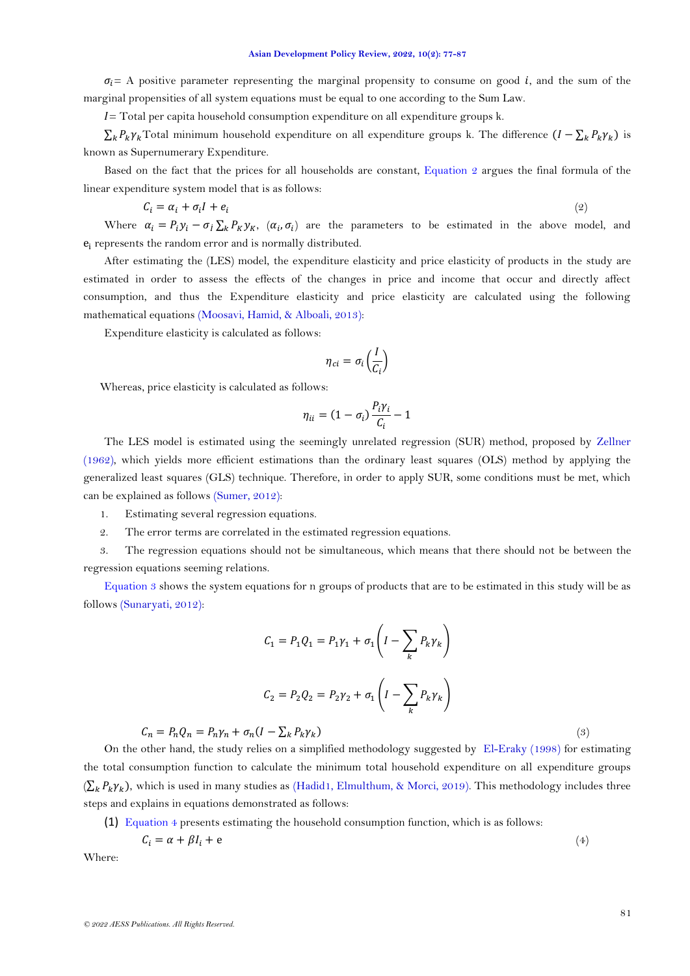$\sigma_i$  = A positive parameter representing the marginal propensity to consume on good *i*, and the sum of the marginal propensities of all system equations must be equal to one according to the Sum Law.

 $I$  = Total per capita household consumption expenditure on all expenditure groups k.

 $\sum_k P_k \gamma_k$ Total minimum household expenditure on all expenditure groups k. The difference  $(I - \sum_k P_k \gamma_k)$  is known as Supernumerary Expenditure.

Based on the fact that the prices for all households are constant, [Equation 2](#page-4-0) argues the final formula of the linear expenditure system model that is as follows:

<span id="page-4-0"></span>
$$
C_i = \alpha_i + \sigma_i I + e_i \tag{2}
$$

Where  $\alpha_i = P_i y_i - \sigma_l \sum_k P_K y_k$ ,  $(\alpha_i, \sigma_i)$  are the parameters to be estimated in the above model, and  $e_i$  represents the random error and is normally distributed.

After estimating the (LES) model, the expenditure elasticity and price elasticity of products in the study are estimated in order to assess the effects of the changes in price and income that occur and directly affect consumption, and thus the Expenditure elasticity and price elasticity are calculated using the following mathematical equations [\(Moosavi, Hamid, & Alboali, 2013\)](#page-10-8):

Expenditure elasticity is calculated as follows:

$$
\eta_{ci} = \sigma_i \left(\frac{I}{C_i}\right)
$$

Whereas, price elasticity is calculated as follows:

$$
\eta_{ii} = (1 - \sigma_i) \frac{P_i \gamma_i}{C_i} - 1
$$

The LES model is estimated using the seemingly unrelated regression (SUR) method, proposed by [Zellner](#page-10-9)  [\(1962\)](#page-10-9), which yields more efficient estimations than the ordinary least squares (OLS) method by applying the generalized least squares (GLS) technique. Therefore, in order to apply SUR, some conditions must be met, which can be explained as follows [\(Sumer,](#page-10-10) 2012):

- 1. Estimating several regression equations.
- 2. The error terms are correlated in the estimated regression equations.
- 3. The regression equations should not be simultaneous, which means that there should not be between the regression equations seeming relations.

[Equation 3](#page-4-1) shows the system equations for n groups of products that are to be estimated in this study will be as follows [\(Sunaryati, 2012\)](#page-10-1):

<span id="page-4-1"></span>
$$
C_1 = P_1 Q_1 = P_1 \gamma_1 + \sigma_1 \left( I - \sum_k P_k \gamma_k \right)
$$
  

$$
C_2 = P_2 Q_2 = P_2 \gamma_2 + \sigma_1 \left( I - \sum_k P_k \gamma_k \right)
$$
  

$$
+ \sigma_n (I - \sum_k P_k \gamma_k)
$$
 (3)

 $C_n = P_n Q_n = P_n \gamma_n + \sigma_n (I - \sum_k P_k \gamma_k)$ 

On the other hand, the study relies on a simplified methodology suggested by [El-Eraky \(1998\)](#page-9-8) for estimating the total consumption function to calculate the minimum total household expenditure on all expenditure groups  $(\sum_k P_k \gamma_k)$ , which is used in many studies as [\(Hadid1, Elmulthum, & Morci, 2019\)](#page-10-11). This methodology includes three steps and explains in equations demonstrated as follows:

(1) [Equation 4](#page-4-2) presents estimating the household consumption function, which is as follows:

<span id="page-4-2"></span>
$$
C_i = \alpha + \beta I_i + e \tag{4}
$$

Where: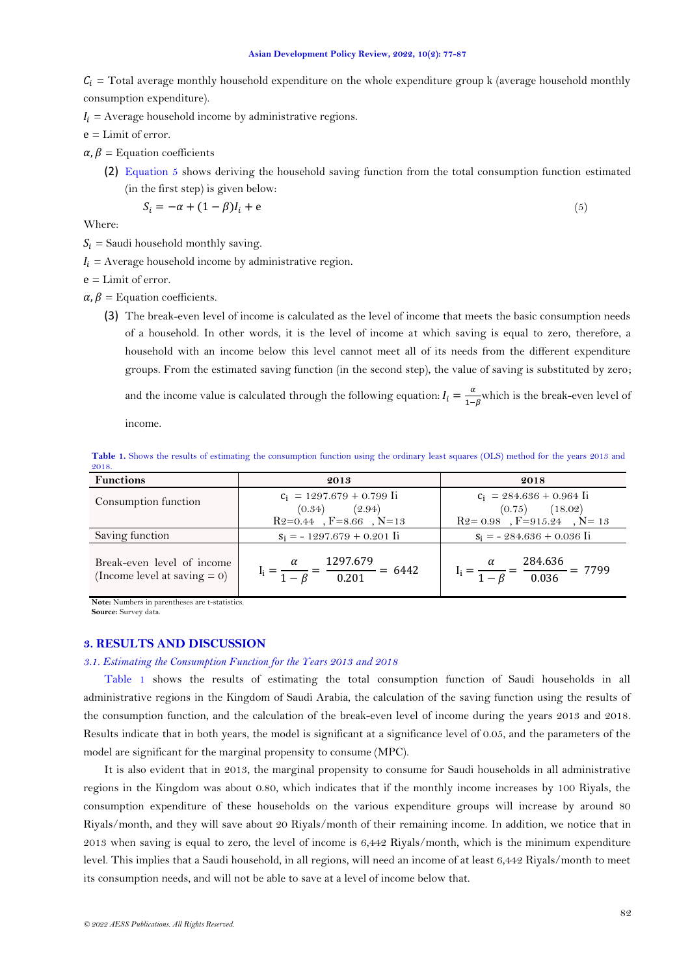$C_i$  = Total average monthly household expenditure on the whole expenditure group k (average household monthly consumption expenditure).

 $I_i$  = Average household income by administrative regions.

 $e =$  Limit of error.

 $\alpha, \beta$  = Equation coefficients

(2) Equation 5 shows deriving the household saving function from the total consumption function estimated (in the first step) is given below:

$$
S_i = -\alpha + (1 - \beta)I_i + e \tag{5}
$$

Where:

- $S_i$  = Saudi household monthly saving.
- $I_i$  = Average household income by administrative region.

 $e =$ Limit of error.

 $\alpha$ ,  $\beta$  = Equation coefficients.

(3) The break-even level of income is calculated as the level of income that meets the basic consumption needs of a household. In other words, it is the level of income at which saving is equal to zero, therefore, a household with an income below this level cannot meet all of its needs from the different expenditure groups. From the estimated saving function (in the second step), the value of saving is substituted by zero; and the income value is calculated through the following equation:  $I_i = \frac{a}{1-a}$  $\frac{u}{1-\beta}$  which is the break-even level of

income.

<span id="page-5-0"></span>**Table 1.** Shows the results of estimating the consumption function using the ordinary least squares (OLS) method for the years 2013 and 2018.

| <b>Functions</b>                                              | 2013                                                                             | 2018                                                                                      |
|---------------------------------------------------------------|----------------------------------------------------------------------------------|-------------------------------------------------------------------------------------------|
| Consumption function                                          | $c_i$ = 1297.679 + 0.799 Ii<br>(2.94)<br>(0.34)<br>$R2=0.44$ , $F=8.66$ , $N=13$ | $c_i$ = 284.636 + 0.964 Ii<br>$(0.75)$ $(18.02)$<br>$R2 = 0.98$ , $F = 915.24$ , $N = 13$ |
| Saving function                                               | $S_i = -1297.679 + 0.201$ Ii                                                     | $S_i = -284.636 + 0.036$ Ii                                                               |
| Break-even level of income<br>(Income level at saving $= 0$ ) | $I_i = \frac{\alpha}{1 - \beta} = \frac{1297.075}{0.201} = 6442$                 | 284.636<br>$I_i = \frac{a}{1 - \beta} = \frac{28 \text{ m}^2}{0.036} = 7799$              |

**Note:** Numbers in parentheses are t-statistics.

**Source:** Survey data.

### **3. RESULTS AND DISCUSSION**

### *3.1. Estimating the Consumption Function for the Years 2013 and 2018*

[Table 1](#page-5-0) shows the results of estimating the total consumption function of Saudi households in all administrative regions in the Kingdom of Saudi Arabia, the calculation of the saving function using the results of the consumption function, and the calculation of the break-even level of income during the years 2013 and 2018. Results indicate that in both years, the model is significant at a significance level of 0.05, and the parameters of the model are significant for the marginal propensity to consume (MPC).

It is also evident that in 2013, the marginal propensity to consume for Saudi households in all administrative regions in the Kingdom was about 0.80, which indicates that if the monthly income increases by 100 Riyals, the consumption expenditure of these households on the various expenditure groups will increase by around 80 Riyals/month, and they will save about 20 Riyals/month of their remaining income. In addition, we notice that in 2013 when saving is equal to zero, the level of income is 6,442 Riyals/month, which is the minimum expenditure level. This implies that a Saudi household, in all regions, will need an income of at least 6,442 Riyals/month to meet its consumption needs, and will not be able to save at a level of income below that.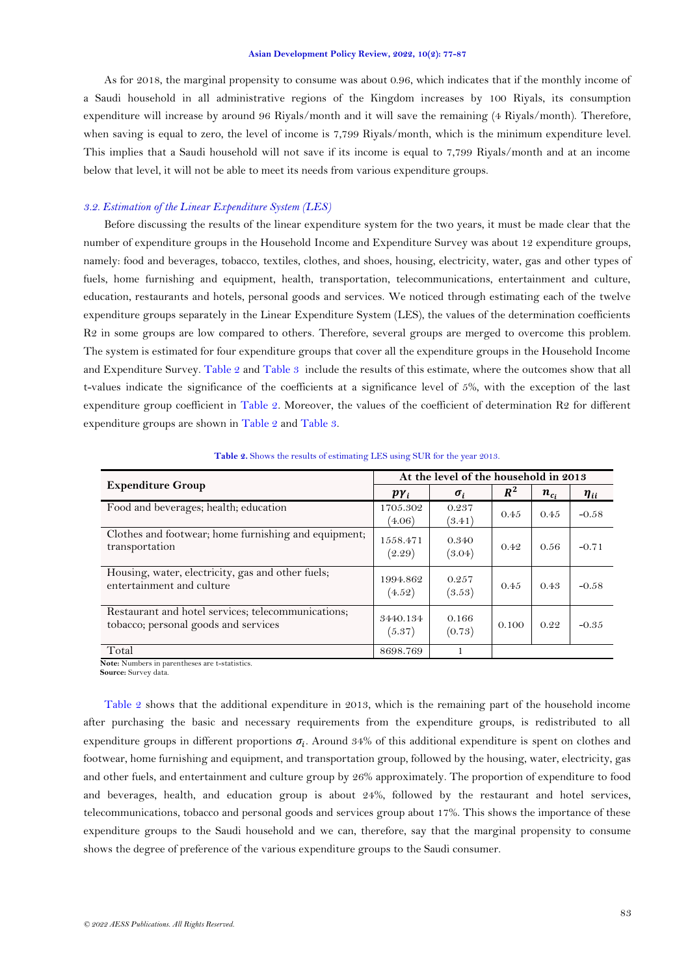As for 2018, the marginal propensity to consume was about 0.96, which indicates that if the monthly income of a Saudi household in all administrative regions of the Kingdom increases by 100 Riyals, its consumption expenditure will increase by around 96 Riyals/month and it will save the remaining (4 Riyals/month). Therefore, when saving is equal to zero, the level of income is 7,799 Riyals/month, which is the minimum expenditure level. This implies that a Saudi household will not save if its income is equal to 7,799 Riyals/month and at an income below that level, it will not be able to meet its needs from various expenditure groups.

### *3.2. Estimation of the Linear Expenditure System (LES)*

Before discussing the results of the linear expenditure system for the two years, it must be made clear that the number of expenditure groups in the Household Income and Expenditure Survey was about 12 expenditure groups, namely: food and beverages, tobacco, textiles, clothes, and shoes, housing, electricity, water, gas and other types of fuels, home furnishing and equipment, health, transportation, telecommunications, entertainment and culture, education, restaurants and hotels, personal goods and services. We noticed through estimating each of the twelve expenditure groups separately in the Linear Expenditure System (LES), the values of the determination coefficients R2 in some groups are low compared to others. Therefore, several groups are merged to overcome this problem. The system is estimated for four expenditure groups that cover all the expenditure groups in the Household Income and Expenditure Survey. [Table 2](#page-6-0) and [Table 3](#page-7-0) include the results of this estimate, where the outcomes show that all t-values indicate the significance of the coefficients at a significance level of 5%, with the exception of the last expenditure group coefficient in [Table 2.](#page-6-0) Moreover, the values of the coefficient of determination R2 for different expenditure groups are shown in [Table 2](#page-6-0) an[d Table 3.](#page-7-0)

<span id="page-6-0"></span>

|                                                                                            | At the level of the household in 2013 |                 |       |           |             |
|--------------------------------------------------------------------------------------------|---------------------------------------|-----------------|-------|-----------|-------------|
| <b>Expenditure Group</b>                                                                   | $p\gamma_i$                           | $\sigma_i$      | $R^2$ | $n_{c_i}$ | $\eta_{ii}$ |
| Food and beverages; health; education                                                      | 1705.302<br>(4.06)                    | 0.237<br>(3.41) | 0.45  | 0.45      | $-0.58$     |
| Clothes and footwear; home furnishing and equipment;<br>transportation                     | 1558.471<br>(2.29)                    | 0.340<br>(3.04) | 0.42  | 0.56      | $-0.71$     |
| Housing, water, electricity, gas and other fuels;<br>entertainment and culture             | 1994.862<br>(4.52)                    | 0.257<br>(3.53) | 0.45  | 0.43      | $-0.58$     |
| Restaurant and hotel services; telecommunications;<br>tobacco; personal goods and services | 3440.134<br>(5.37)                    | 0.166<br>(0.73) | 0.100 | 0.22      | $-0.35$     |
| Total                                                                                      | 8698.769                              |                 |       |           |             |

**Table 2.** Shows the results of estimating LES using SUR for the year 2013.

**Note:** Numbers in parentheses are t-statistics.

**Source:** Survey data.

[Table 2](#page-6-0) shows that the additional expenditure in 2013, which is the remaining part of the household income after purchasing the basic and necessary requirements from the expenditure groups, is redistributed to all expenditure groups in different proportions  $\sigma_i$ . Around 34% of this additional expenditure is spent on clothes and footwear, home furnishing and equipment, and transportation group, followed by the housing, water, electricity, gas and other fuels, and entertainment and culture group by 26% approximately. The proportion of expenditure to food and beverages, health, and education group is about 24%, followed by the restaurant and hotel services, telecommunications, tobacco and personal goods and services group about 17%. This shows the importance of these expenditure groups to the Saudi household and we can, therefore, say that the marginal propensity to consume shows the degree of preference of the various expenditure groups to the Saudi consumer.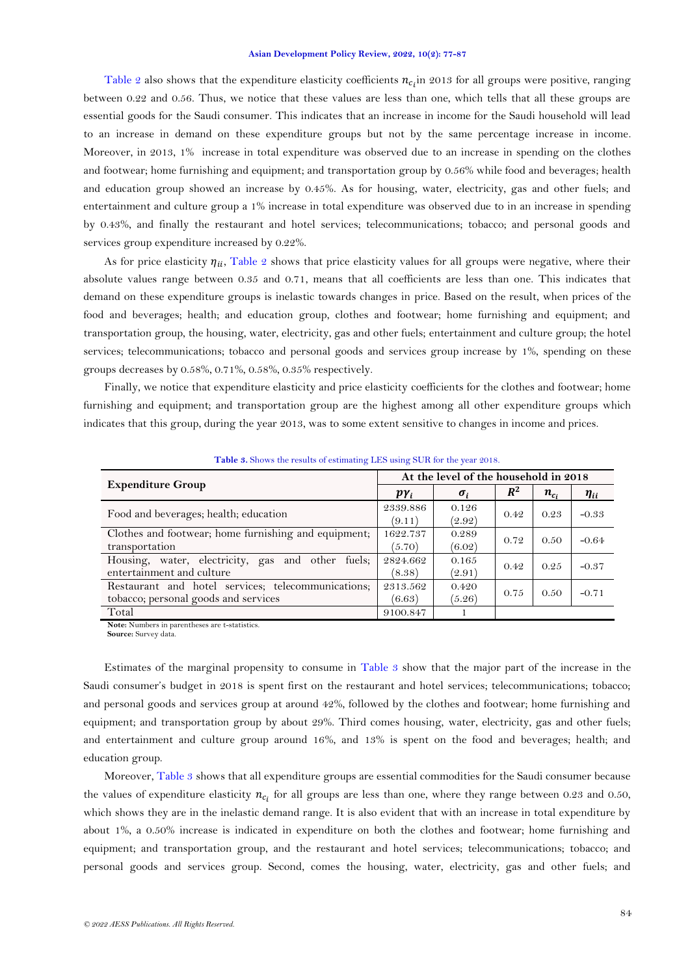[Table 2](#page-6-0) also shows that the expenditure elasticity coefficients  $n_{ci}$  in 2013 for all groups were positive, ranging between 0.22 and 0.56. Thus, we notice that these values are less than one, which tells that all these groups are essential goods for the Saudi consumer. This indicates that an increase in income for the Saudi household will lead to an increase in demand on these expenditure groups but not by the same percentage increase in income. Moreover, in 2013, 1% increase in total expenditure was observed due to an increase in spending on the clothes and footwear; home furnishing and equipment; and transportation group by 0.56% while food and beverages; health and education group showed an increase by 0.45%. As for housing, water, electricity, gas and other fuels; and entertainment and culture group a 1% increase in total expenditure was observed due to in an increase in spending by 0.43%, and finally the restaurant and hotel services; telecommunications; tobacco; and personal goods and services group expenditure increased by 0.22%.

As for price elasticity  $\eta_{ii}$ , [Table 2](#page-6-0) shows that price elasticity values for all groups were negative, where their absolute values range between 0.35 and 0.71, means that all coefficients are less than one. This indicates that demand on these expenditure groups is inelastic towards changes in price. Based on the result, when prices of the food and beverages; health; and education group, clothes and footwear; home furnishing and equipment; and transportation group, the housing, water, electricity, gas and other fuels; entertainment and culture group; the hotel services; telecommunications; tobacco and personal goods and services group increase by 1%, spending on these groups decreases by 0.58%, 0.71%, 0.58%, 0.35% respectively.

Finally, we notice that expenditure elasticity and price elasticity coefficients for the clothes and footwear; home furnishing and equipment; and transportation group are the highest among all other expenditure groups which indicates that this group, during the year 2013, was to some extent sensitive to changes in income and prices.

<span id="page-7-0"></span>

|                                                                                            | At the level of the household in 2018 |                 |       |           |             |
|--------------------------------------------------------------------------------------------|---------------------------------------|-----------------|-------|-----------|-------------|
| <b>Expenditure Group</b>                                                                   | $p\gamma_i$                           | $\sigma_i$      | $R^2$ | $n_{c_i}$ | $\eta_{ii}$ |
| Food and beverages; health; education                                                      | 2339.886<br>(9.11)                    | 0.126<br>(2.92) | 0.42  | 0.23      | $-0.33$     |
| Clothes and footwear; home furnishing and equipment;<br>transportation                     | 1622.737<br>(5.70)                    | 0.289<br>(6.02) | 0.72  | 0.50      | $-0.64$     |
| Housing, water, electricity, gas and other fuels;<br>entertainment and culture             | 2824.662<br>(8.38)                    | 0.165<br>(2.91) | 0.49  | 0.25      | $-0.37$     |
| Restaurant and hotel services; telecommunications;<br>tobacco; personal goods and services | 2313.562<br>(6.63)                    | 0.420<br>(5.26) | 0.75  | 0.50      | $-0.71$     |
| Total                                                                                      | 9100.847                              |                 |       |           |             |

**Table 3.** Shows the results of estimating LES using SUR for the year 2018.

**Note:** Numbers in parentheses are t-statistics.

**Source:** Survey data.

Estimates of the marginal propensity to consume in Table 3 show that the major part of the increase in the Saudi consumer's budget in 2018 is spent first on the restaurant and hotel services; telecommunications; tobacco; and personal goods and services group at around 42%, followed by the clothes and footwear; home furnishing and equipment; and transportation group by about 29%. Third comes housing, water, electricity, gas and other fuels; and entertainment and culture group around 16%, and 13% is spent on the food and beverages; health; and education group.

Moreover, Table 3 shows that all expenditure groups are essential commodities for the Saudi consumer because the values of expenditure elasticity  $n_{c_i}$  for all groups are less than one, where they range between 0.23 and 0.50, which shows they are in the inelastic demand range. It is also evident that with an increase in total expenditure by about 1%, a 0.50% increase is indicated in expenditure on both the clothes and footwear; home furnishing and equipment; and transportation group, and the restaurant and hotel services; telecommunications; tobacco; and personal goods and services group. Second, comes the housing, water, electricity, gas and other fuels; and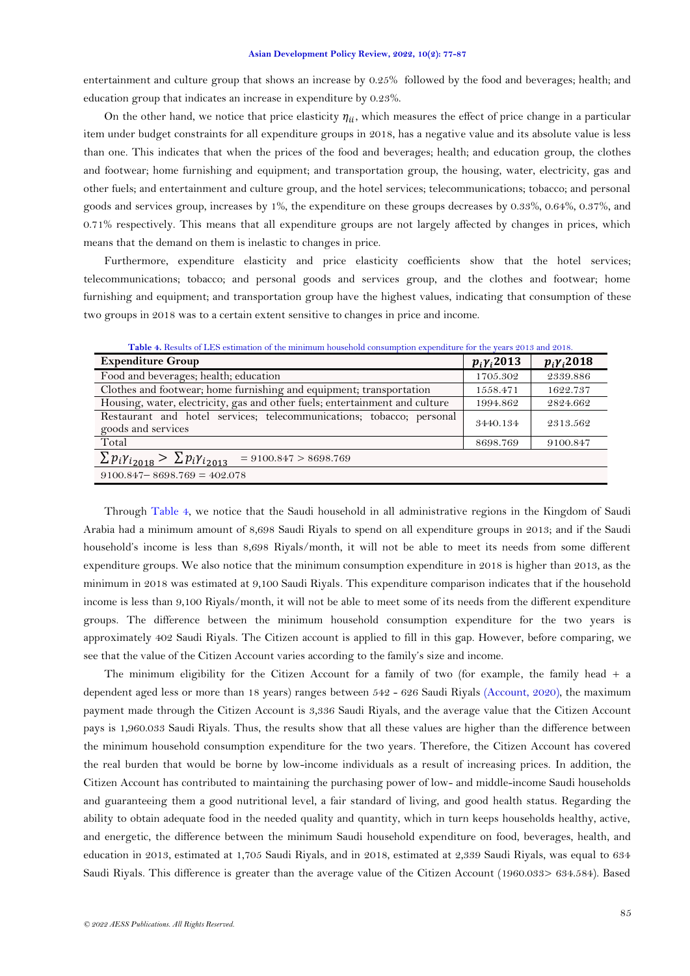entertainment and culture group that shows an increase by 0.25% followed by the food and beverages; health; and education group that indicates an increase in expenditure by 0.23%.

On the other hand, we notice that price elasticity  $\eta_{ii}$ , which measures the effect of price change in a particular item under budget constraints for all expenditure groups in 2018, has a negative value and its absolute value is less than one. This indicates that when the prices of the food and beverages; health; and education group, the clothes and footwear; home furnishing and equipment; and transportation group, the housing, water, electricity, gas and other fuels; and entertainment and culture group, and the hotel services; telecommunications; tobacco; and personal goods and services group, increases by 1%, the expenditure on these groups decreases by 0.33%, 0.64%, 0.37%, and 0.71% respectively. This means that all expenditure groups are not largely affected by changes in prices, which means that the demand on them is inelastic to changes in price.

Furthermore, expenditure elasticity and price elasticity coefficients show that the hotel services; telecommunications; tobacco; and personal goods and services group, and the clothes and footwear; home furnishing and equipment; and transportation group have the highest values, indicating that consumption of these two groups in 2018 was to a certain extent sensitive to changes in price and income.

<span id="page-8-0"></span>

| <b>Expenditure Group</b>                                                                   |          | $p_i \gamma_i 2018$ |
|--------------------------------------------------------------------------------------------|----------|---------------------|
| Food and beverages; health; education                                                      | 1705.302 | 2339.886            |
| Clothes and footwear; home furnishing and equipment; transportation                        |          | 1622.737            |
| Housing, water, electricity, gas and other fuels; entertainment and culture                | 1994.862 | 2824.662            |
| Restaurant and hotel services; telecommunications; tobacco; personal<br>goods and services |          | 2313.562            |
| Total                                                                                      | 8698.769 | 9100.847            |
| $\sum p_i \gamma_{i_{2018}} > \sum p_i \gamma_{i_{2013}}$<br>$= 9100.847 > 8698.769$       |          |                     |
| $9100.847 - 8698.769 = 402.078$                                                            |          |                     |

**Table 4.** Results of LES estimation of the minimum household consumption expenditure for the years 2013 and 2018.

Through [Table 4,](#page-8-0) we notice that the Saudi household in all administrative regions in the Kingdom of Saudi Arabia had a minimum amount of 8,698 Saudi Riyals to spend on all expenditure groups in 2013; and if the Saudi household's income is less than 8,698 Riyals/month, it will not be able to meet its needs from some different expenditure groups. We also notice that the minimum consumption expenditure in 2018 is higher than 2013, as the minimum in 2018 was estimated at 9,100 Saudi Riyals. This expenditure comparison indicates that if the household income is less than 9,100 Riyals/month, it will not be able to meet some of its needs from the different expenditure groups. The difference between the minimum household consumption expenditure for the two years is approximately 402 Saudi Riyals. The Citizen account is applied to fill in this gap. However, before comparing, we see that the value of the Citizen Account varies according to the family's size and income.

The minimum eligibility for the Citizen Account for a family of two (for example, the family head + a dependent aged less or more than 18 years) ranges between 542 - 626 Saudi Riyals [\(Account, 2020\)](#page-9-9), the maximum payment made through the Citizen Account is 3,336 Saudi Riyals, and the average value that the Citizen Account pays is 1,960.033 Saudi Riyals. Thus, the results show that all these values are higher than the difference between the minimum household consumption expenditure for the two years. Therefore, the Citizen Account has covered the real burden that would be borne by low-income individuals as a result of increasing prices. In addition, the Citizen Account has contributed to maintaining the purchasing power of low- and middle-income Saudi households and guaranteeing them a good nutritional level, a fair standard of living, and good health status. Regarding the ability to obtain adequate food in the needed quality and quantity, which in turn keeps households healthy, active, and energetic, the difference between the minimum Saudi household expenditure on food, beverages, health, and education in 2013, estimated at 1,705 Saudi Riyals, and in 2018, estimated at 2,339 Saudi Riyals, was equal to 634 Saudi Riyals. This difference is greater than the average value of the Citizen Account (1960.033> 634.584). Based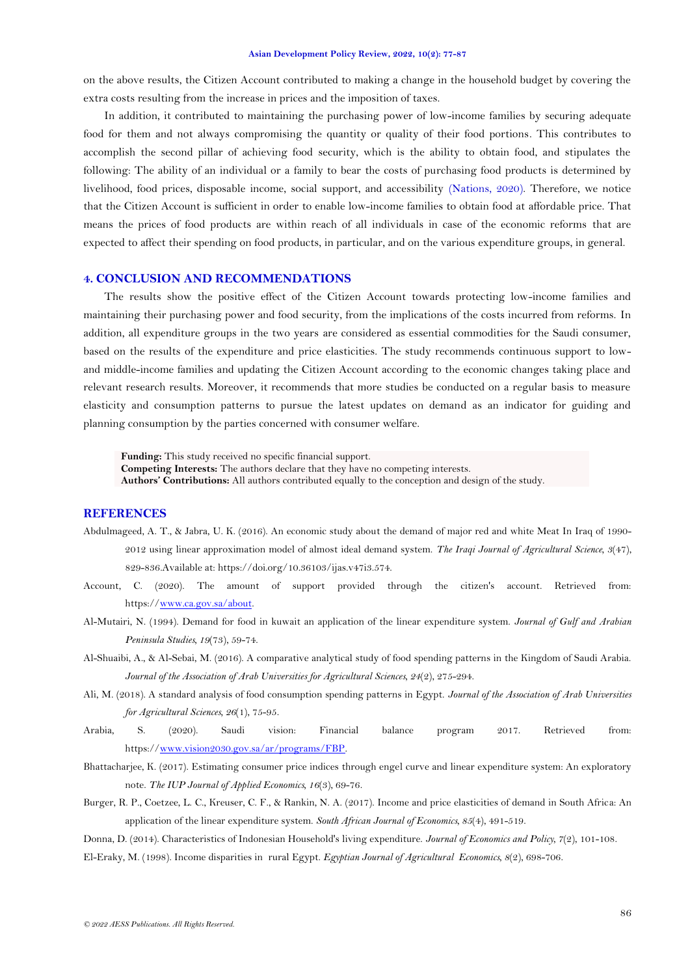on the above results, the Citizen Account contributed to making a change in the household budget by covering the extra costs resulting from the increase in prices and the imposition of taxes.

In addition, it contributed to maintaining the purchasing power of low-income families by securing adequate food for them and not always compromising the quantity or quality of their food portions. This contributes to accomplish the second pillar of achieving food security, which is the ability to obtain food, and stipulates the following: The ability of an individual or a family to bear the costs of purchasing food products is determined by livelihood, food prices, disposable income, social support, and accessibility [\(Nations, 2020\)](#page-10-12). Therefore, we notice that the Citizen Account is sufficient in order to enable low-income families to obtain food at affordable price. That means the prices of food products are within reach of all individuals in case of the economic reforms that are expected to affect their spending on food products, in particular, and on the various expenditure groups, in general.

# **4. CONCLUSION AND RECOMMENDATIONS**

The results show the positive effect of the Citizen Account towards protecting low-income families and maintaining their purchasing power and food security, from the implications of the costs incurred from reforms. In addition, all expenditure groups in the two years are considered as essential commodities for the Saudi consumer, based on the results of the expenditure and price elasticities. The study recommends continuous support to lowand middle-income families and updating the Citizen Account according to the economic changes taking place and relevant research results. Moreover, it recommends that more studies be conducted on a regular basis to measure elasticity and consumption patterns to pursue the latest updates on demand as an indicator for guiding and planning consumption by the parties concerned with consumer welfare.

**Funding:** This study received no specific financial support. **Competing Interests:** The authors declare that they have no competing interests. **Authors' Contributions:** All authors contributed equally to the conception and design of the study.

# **REFERENCES**

- <span id="page-9-0"></span>Abdulmageed, A. T., & Jabra, U. K. (2016). An economic study about the demand of major red and white Meat In Iraq of 1990- 2012 using linear approximation model of almost ideal demand system. *The Iraqi Journal of Agricultural Science, 3*(47), 829-836.Available at: https://doi.org/10.36103/ijas.v47i3.574.
- <span id="page-9-9"></span>Account, C. (2020). The amount of support provided through the citizen's account. Retrieved from: https:/[/www.ca.gov.sa/about.](http://www.ca.gov.sa/about)
- <span id="page-9-1"></span>Al-Mutairi, N. (1994). Demand for food in kuwait an application of the linear expenditure system. *Journal of Gulf and Arabian Peninsula Studies, 19*(73), 59-74.
- <span id="page-9-5"></span>Al-Shuaibi, A., & Al-Sebai, M. (2016). A comparative analytical study of food spending patterns in the Kingdom of Saudi Arabia. *Journal of the Association of Arab Universities for Agricultural Sciences, 24*(2), 275-294.
- <span id="page-9-7"></span>Ali, M. (2018). A standard analysis of food consumption spending patterns in Egypt. *Journal of the Association of Arab Universities for Agricultural Sciences, 26*(1), 75-95.
- <span id="page-9-6"></span>Arabia, S. (2020). Saudi vision: Financial balance program 2017. Retrieved from: https:/[/www.vision2030.gov.sa/ar/programs/FBP.](http://www.vision2030.gov.sa/ar/programs/FBP)
- <span id="page-9-4"></span>Bhattacharjee, K. (2017). Estimating consumer price indices through engel curve and linear expenditure system: An exploratory note. *The IUP Journal of Applied Economics, 16*(3), 69-76.
- <span id="page-9-3"></span>Burger, R. P., Coetzee, L. C., Kreuser, C. F., & Rankin, N. A. (2017). Income and price elasticities of demand in South Africa: An application of the linear expenditure system. *South African Journal of Economics, 85*(4), 491-519.
- <span id="page-9-2"></span>Donna, D. (2014). Characteristics of Indonesian Household's living expenditure. *Journal of Economics and Policy, 7*(2), 101-108.
- <span id="page-9-8"></span>El-Eraky, M. (1998). Income disparities in rural Egypt. *Egyptian Journal of Agricultural Economics, 8*(2), 698-706.